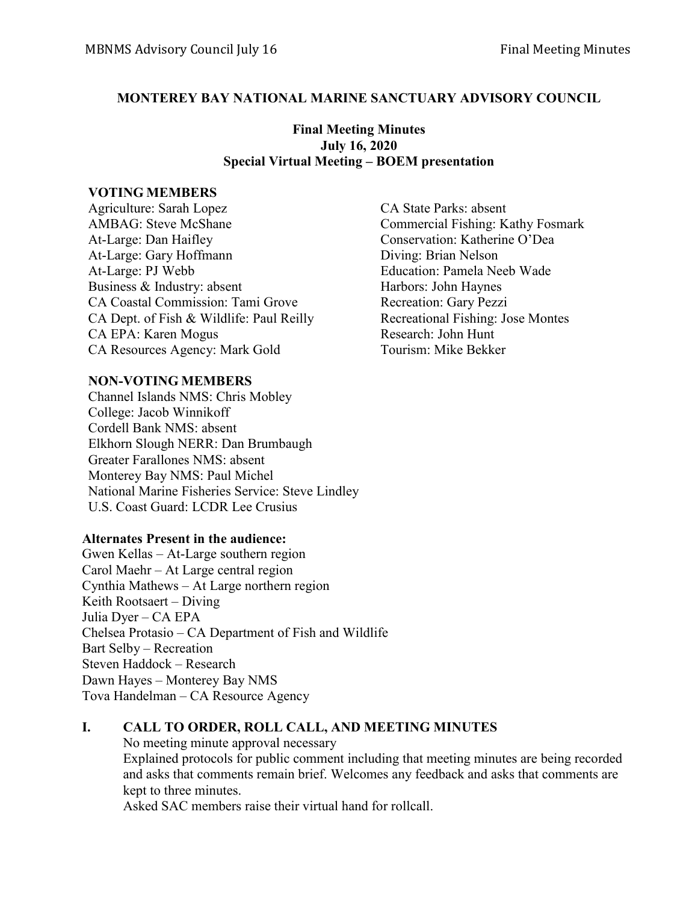#### **MONTEREY BAY NATIONAL MARINE SANCTUARY ADVISORY COUNCIL**

#### **Final Meeting Minutes July 16, 2020 Special Virtual Meeting – BOEM presentation**

#### **VOTING MEMBERS**

Agriculture: Sarah Lopez CA State Parks: absent AMBAG: Steve McShane Commercial Fishing: Kathy Fosmark At-Large: Dan Haifley Conservation: Katherine O'Dea At-Large: Gary Hoffmann Diving: Brian Nelson At-Large: PJ Webb Education: Pamela Neeb Wade Business & Industry: absent Harbors: John Haynes CA Coastal Commission: Tami Grove Recreation: Gary Pezzi CA Dept. of Fish & Wildlife: Paul Reilly Recreational Fishing: Jose Montes CA EPA: Karen Mogus Research: John Hunt CA Resources Agency: Mark Gold Tourism: Mike Bekker

#### **NON-VOTING MEMBERS**

Channel Islands NMS: Chris Mobley College: Jacob Winnikoff Cordell Bank NMS: absent Elkhorn Slough NERR: Dan Brumbaugh Greater Farallones NMS: absent Monterey Bay NMS: Paul Michel National Marine Fisheries Service: Steve Lindley U.S. Coast Guard: LCDR Lee Crusius

#### **Alternates Present in the audience:**

Gwen Kellas – At-Large southern region Carol Maehr – At Large central region Cynthia Mathews – At Large northern region Keith Rootsaert – Diving Julia Dyer – CA EPA Chelsea Protasio – CA Department of Fish and Wildlife Bart Selby – Recreation Steven Haddock – Research Dawn Hayes – Monterey Bay NMS Tova Handelman – CA Resource Agency

### **I. CALL TO ORDER, ROLL CALL, AND MEETING MINUTES**

No meeting minute approval necessary Explained protocols for public comment including that meeting minutes are being recorded and asks that comments remain brief. Welcomes any feedback and asks that comments are kept to three minutes.

Asked SAC members raise their virtual hand for rollcall.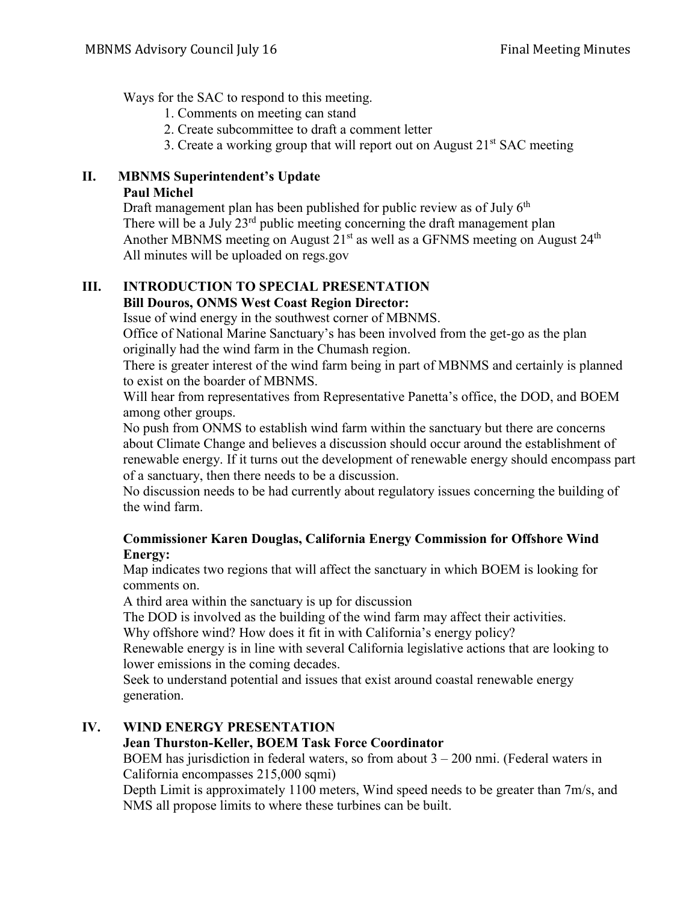Ways for the SAC to respond to this meeting.

- 1. Comments on meeting can stand
- 2. Create subcommittee to draft a comment letter
- 3. Create a working group that will report out on August  $21<sup>st</sup>$  SAC meeting

#### **II. MBNMS Superintendent's Update Paul Michel**

Draft management plan has been published for public review as of July  $6<sup>th</sup>$ There will be a July  $23<sup>rd</sup>$  public meeting concerning the draft management plan Another MBNMS meeting on August  $21<sup>st</sup>$  as well as a GFNMS meeting on August  $24<sup>th</sup>$ All minutes will be uploaded on regs.gov

#### **III. INTRODUCTION TO SPECIAL PRESENTATION Bill Douros, ONMS West Coast Region Director:**

Issue of wind energy in the southwest corner of MBNMS.

Office of National Marine Sanctuary's has been involved from the get-go as the plan originally had the wind farm in the Chumash region.

There is greater interest of the wind farm being in part of MBNMS and certainly is planned to exist on the boarder of MBNMS.

Will hear from representatives from Representative Panetta's office, the DOD, and BOEM among other groups.

No push from ONMS to establish wind farm within the sanctuary but there are concerns about Climate Change and believes a discussion should occur around the establishment of renewable energy. If it turns out the development of renewable energy should encompass part of a sanctuary, then there needs to be a discussion.

No discussion needs to be had currently about regulatory issues concerning the building of the wind farm.

## **Commissioner Karen Douglas, California Energy Commission for Offshore Wind Energy:**

Map indicates two regions that will affect the sanctuary in which BOEM is looking for comments on.

A third area within the sanctuary is up for discussion

The DOD is involved as the building of the wind farm may affect their activities.

Why offshore wind? How does it fit in with California's energy policy?

Renewable energy is in line with several California legislative actions that are looking to lower emissions in the coming decades.

Seek to understand potential and issues that exist around coastal renewable energy generation.

# **IV. WIND ENERGY PRESENTATION**

# **Jean Thurston-Keller, BOEM Task Force Coordinator**

BOEM has jurisdiction in federal waters, so from about  $3 - 200$  nmi. (Federal waters in California encompasses 215,000 sqmi)

Depth Limit is approximately 1100 meters, Wind speed needs to be greater than 7m/s, and NMS all propose limits to where these turbines can be built.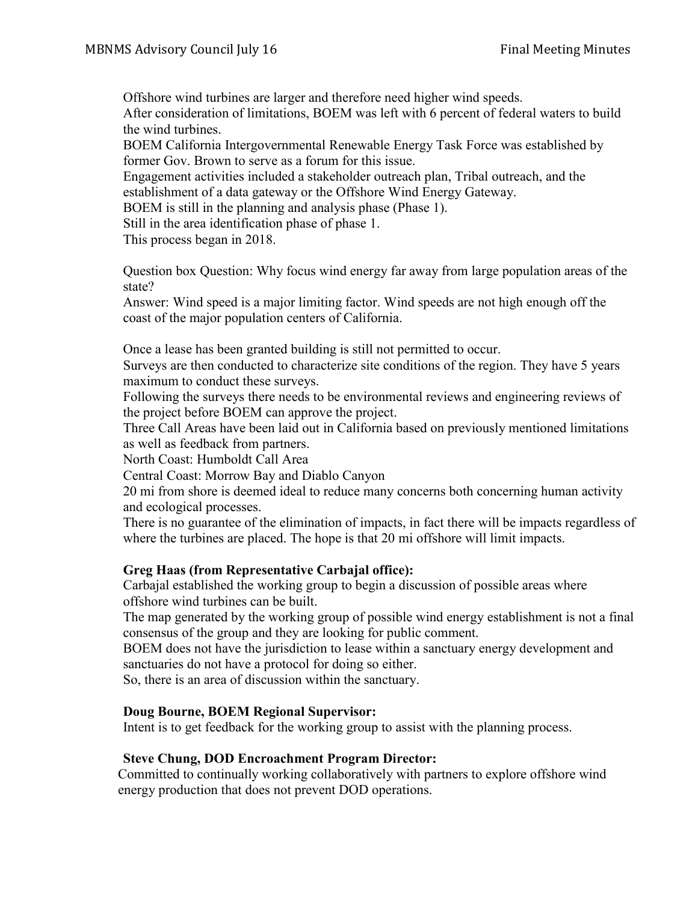Offshore wind turbines are larger and therefore need higher wind speeds. After consideration of limitations, BOEM was left with 6 percent of federal waters to build the wind turbines.

BOEM California Intergovernmental Renewable Energy Task Force was established by former Gov. Brown to serve as a forum for this issue.

Engagement activities included a stakeholder outreach plan, Tribal outreach, and the establishment of a data gateway or the Offshore Wind Energy Gateway.

BOEM is still in the planning and analysis phase (Phase 1).

Still in the area identification phase of phase 1.

This process began in 2018.

Question box Question: Why focus wind energy far away from large population areas of the state?

Answer: Wind speed is a major limiting factor. Wind speeds are not high enough off the coast of the major population centers of California.

Once a lease has been granted building is still not permitted to occur.

Surveys are then conducted to characterize site conditions of the region. They have 5 years maximum to conduct these surveys.

Following the surveys there needs to be environmental reviews and engineering reviews of the project before BOEM can approve the project.

Three Call Areas have been laid out in California based on previously mentioned limitations as well as feedback from partners.

North Coast: Humboldt Call Area

Central Coast: Morrow Bay and Diablo Canyon

20 mi from shore is deemed ideal to reduce many concerns both concerning human activity and ecological processes.

There is no guarantee of the elimination of impacts, in fact there will be impacts regardless of where the turbines are placed. The hope is that 20 mi offshore will limit impacts.

### **Greg Haas (from Representative Carbajal office):**

Carbajal established the working group to begin a discussion of possible areas where offshore wind turbines can be built.

The map generated by the working group of possible wind energy establishment is not a final consensus of the group and they are looking for public comment.

BOEM does not have the jurisdiction to lease within a sanctuary energy development and sanctuaries do not have a protocol for doing so either.

So, there is an area of discussion within the sanctuary.

### **Doug Bourne, BOEM Regional Supervisor:**

Intent is to get feedback for the working group to assist with the planning process.

### **Steve Chung, DOD Encroachment Program Director:**

Committed to continually working collaboratively with partners to explore offshore wind energy production that does not prevent DOD operations.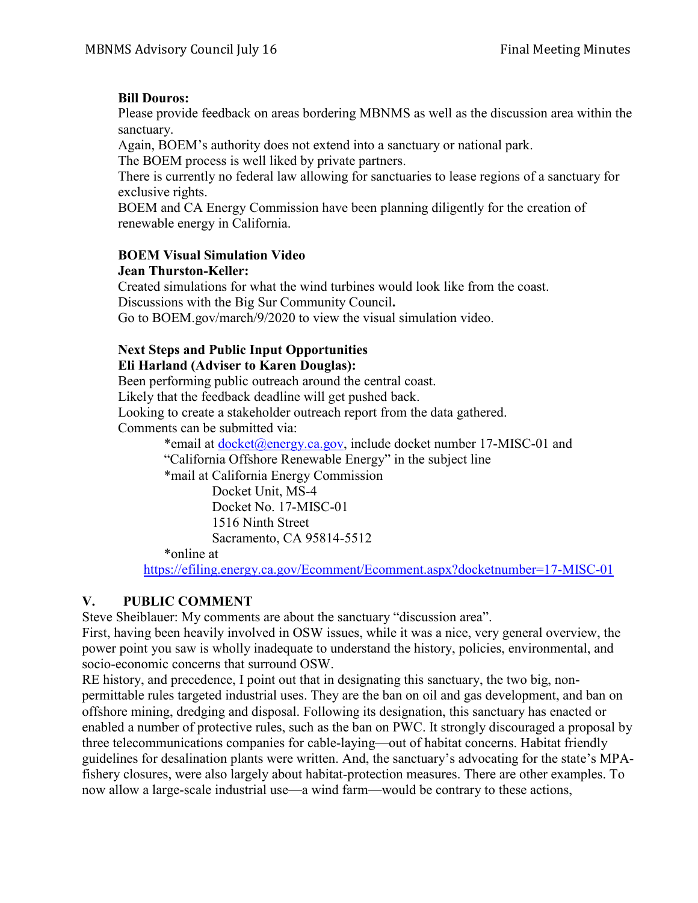# **Bill Douros:**

Please provide feedback on areas bordering MBNMS as well as the discussion area within the sanctuary.

Again, BOEM's authority does not extend into a sanctuary or national park.

The BOEM process is well liked by private partners.

There is currently no federal law allowing for sanctuaries to lease regions of a sanctuary for exclusive rights.

BOEM and CA Energy Commission have been planning diligently for the creation of renewable energy in California.

## **BOEM Visual Simulation Video**

### **Jean Thurston-Keller:**

Created simulations for what the wind turbines would look like from the coast. Discussions with the Big Sur Community Council**.**

Go to BOEM.gov/march/9/2020 to view the visual simulation video.

# **Next Steps and Public Input Opportunities**

## **Eli Harland (Adviser to Karen Douglas):**

Been performing public outreach around the central coast.

Likely that the feedback deadline will get pushed back.

Looking to create a stakeholder outreach report from the data gathered.

Comments can be submitted via:

\*email at [docket@energy.ca.gov,](mailto:docket@energy.ca.gov) include docket number 17-MISC-01 and "California Offshore Renewable Energy" in the subject line

\*mail at California Energy Commission

 Docket Unit, MS-4 Docket No. 17-MISC-01 1516 Ninth Street Sacramento, CA 95814-5512

\*online at

<https://efiling.energy.ca.gov/Ecomment/Ecomment.aspx?docketnumber=17-MISC-01>

# **V. PUBLIC COMMENT**

Steve Sheiblauer: My comments are about the sanctuary "discussion area".

First, having been heavily involved in OSW issues, while it was a nice, very general overview, the power point you saw is wholly inadequate to understand the history, policies, environmental, and socio-economic concerns that surround OSW.

RE history, and precedence, I point out that in designating this sanctuary, the two big, nonpermittable rules targeted industrial uses. They are the ban on oil and gas development, and ban on offshore mining, dredging and disposal. Following its designation, this sanctuary has enacted or enabled a number of protective rules, such as the ban on PWC. It strongly discouraged a proposal by three telecommunications companies for cable-laying—out of habitat concerns. Habitat friendly guidelines for desalination plants were written. And, the sanctuary's advocating for the state's MPAfishery closures, were also largely about habitat-protection measures. There are other examples. To now allow a large-scale industrial use—a wind farm—would be contrary to these actions,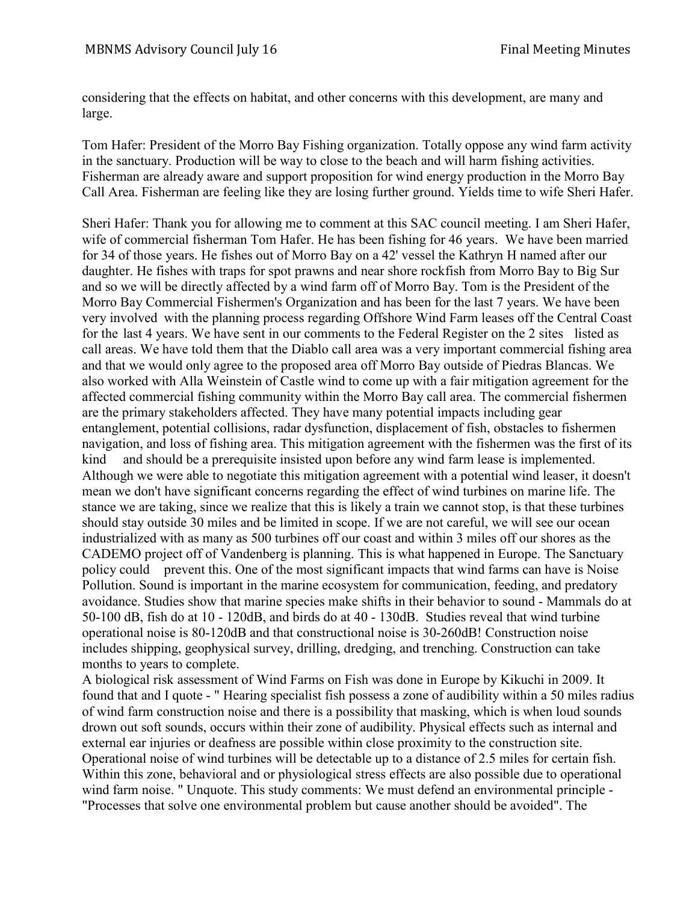considering that the effects on habitat, and other concerns with this development, are many and large.

Tom Hafer: President of the Morro Bay Fishing organization. Totally oppose any wind farm activity in the sanctuary. Production will be way to close to the beach and will harm fishing activities. Fisherman are already aware and support proposition for wind energy production in the Morro Bay Call Area. Fisherman are feeling like they are losing further ground. Yields time to wife Sheri Hafer.

Sheri Hafer: Thank you for allowing me to comment at this SAC council meeting. I am Sheri Hafer, wife of commercial fisherman Tom Hafer. He has been fishing for 46 years. We have been married for 34 of those years. He fishes out of Morro Bay on a 42' vessel the Kathryn H named after our daughter. He fishes with traps for spot prawns and near shore rockfish from Morro Bay to Big Sur and so we will be directly affected by a wind farm off of Morro Bay. Tom is the President of the Morro Bay Commercial Fishermen's Organization and has been for the last 7 years. We have been very involved with the planning process regarding Offshore Wind Farm leases off the Central Coast for the last 4 years. We have sent in our comments to the Federal Register on the 2 sites listed as call areas. We have told them that the Diablo call area was a very important commercial fishing area and that we would only agree to the proposed area off Morro Bay outside of Piedras Blancas. We also worked with Alla Weinstein of Castle wind to come up with a fair mitigation agreement for the affected commercial fishing community within the Morro Bay call area. The commercial fishermen are the primary stakeholders affected. They have many potential impacts including gear entanglement, potential collisions, radar dysfunction, displacement of fish, obstacles to fishermen navigation, and loss of fishing area. This mitigation agreement with the fishermen was the first of its kind and should be a prerequisite insisted upon before any wind farm lease is implemented. Although we were able to negotiate this mitigation agreement with a potential wind leaser, it doesn't mean we don't have significant concerns regarding the effect of wind turbines on marine life. The stance we are taking, since we realize that this is likely a train we cannot stop, is that these turbines should stay outside 30 miles and be limited in scope. If we are not careful, we will see our ocean industrialized with as many as 500 turbines off our coast and within 3 miles off our shores as the CADEMO project off of Vandenberg is planning. This is what happened in Europe. The Sanctuary policy could prevent this. One of the most significant impacts that wind farms can have is Noise Pollution. Sound is important in the marine ecosystem for communication, feeding, and predatory avoidance. Studies show that marine species make shifts in their behavior to sound - Mammals do at 50-100 dB, fish do at 10 - 120dB, and birds do at 40 - 130dB. Studies reveal that wind turbine operational noise is 80-120dB and that constructional noise is 30-260dB! Construction noise includes shipping, geophysical survey, drilling, dredging, and trenching. Construction can take months to years to complete.

A biological risk assessment of Wind Farms on Fish was done in Europe by Kikuchi in 2009. It found that and I quote - " Hearing specialist fish possess a zone of audibility within a 50 miles radius of wind farm construction noise and there is a possibility that masking, which is when loud sounds drown out soft sounds, occurs within their zone of audibility. Physical effects such as internal and external ear injuries or deafness are possible within close proximity to the construction site. Operational noise of wind turbines will be detectable up to a distance of 2.5 miles for certain fish. Within this zone, behavioral and or physiological stress effects are also possible due to operational wind farm noise. " Unquote. This study comments: We must defend an environmental principle - "Processes that solve one environmental problem but cause another should be avoided". The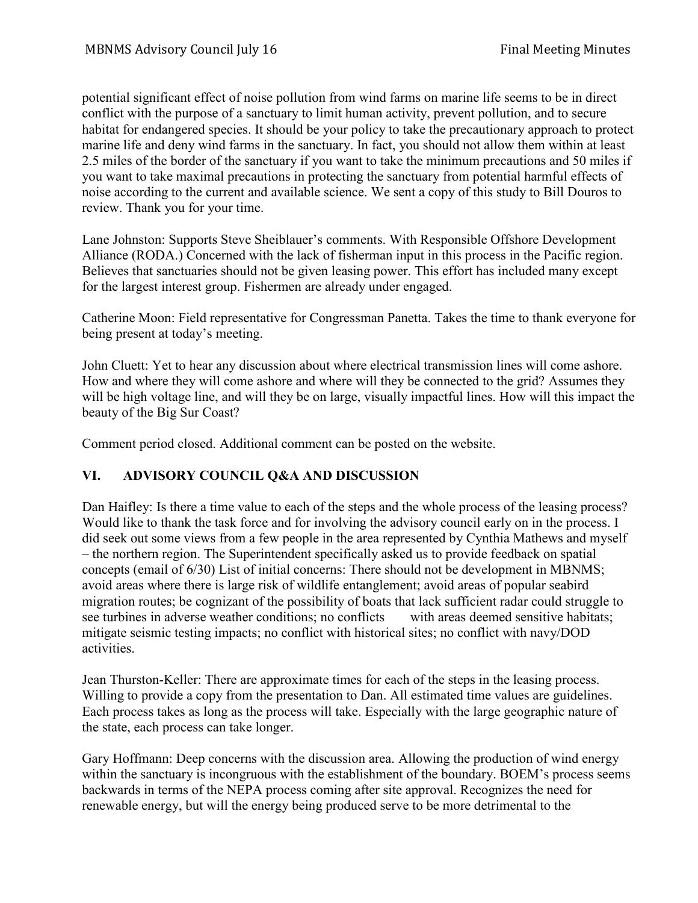potential significant effect of noise pollution from wind farms on marine life seems to be in direct conflict with the purpose of a sanctuary to limit human activity, prevent pollution, and to secure habitat for endangered species. It should be your policy to take the precautionary approach to protect marine life and deny wind farms in the sanctuary. In fact, you should not allow them within at least 2.5 miles of the border of the sanctuary if you want to take the minimum precautions and 50 miles if you want to take maximal precautions in protecting the sanctuary from potential harmful effects of noise according to the current and available science. We sent a copy of this study to Bill Douros to review. Thank you for your time.

Lane Johnston: Supports Steve Sheiblauer's comments. With Responsible Offshore Development Alliance (RODA.) Concerned with the lack of fisherman input in this process in the Pacific region. Believes that sanctuaries should not be given leasing power. This effort has included many except for the largest interest group. Fishermen are already under engaged.

Catherine Moon: Field representative for Congressman Panetta. Takes the time to thank everyone for being present at today's meeting.

John Cluett: Yet to hear any discussion about where electrical transmission lines will come ashore. How and where they will come ashore and where will they be connected to the grid? Assumes they will be high voltage line, and will they be on large, visually impactful lines. How will this impact the beauty of the Big Sur Coast?

Comment period closed. Additional comment can be posted on the website.

# **VI. ADVISORY COUNCIL Q&A AND DISCUSSION**

Dan Haifley: Is there a time value to each of the steps and the whole process of the leasing process? Would like to thank the task force and for involving the advisory council early on in the process. I did seek out some views from a few people in the area represented by Cynthia Mathews and myself – the northern region. The Superintendent specifically asked us to provide feedback on spatial concepts (email of 6/30) List of initial concerns: There should not be development in MBNMS; avoid areas where there is large risk of wildlife entanglement; avoid areas of popular seabird migration routes; be cognizant of the possibility of boats that lack sufficient radar could struggle to see turbines in adverse weather conditions; no conflicts with areas deemed sensitive habitats; mitigate seismic testing impacts; no conflict with historical sites; no conflict with navy/DOD activities.

Jean Thurston-Keller: There are approximate times for each of the steps in the leasing process. Willing to provide a copy from the presentation to Dan. All estimated time values are guidelines. Each process takes as long as the process will take. Especially with the large geographic nature of the state, each process can take longer.

Gary Hoffmann: Deep concerns with the discussion area. Allowing the production of wind energy within the sanctuary is incongruous with the establishment of the boundary. BOEM's process seems backwards in terms of the NEPA process coming after site approval. Recognizes the need for renewable energy, but will the energy being produced serve to be more detrimental to the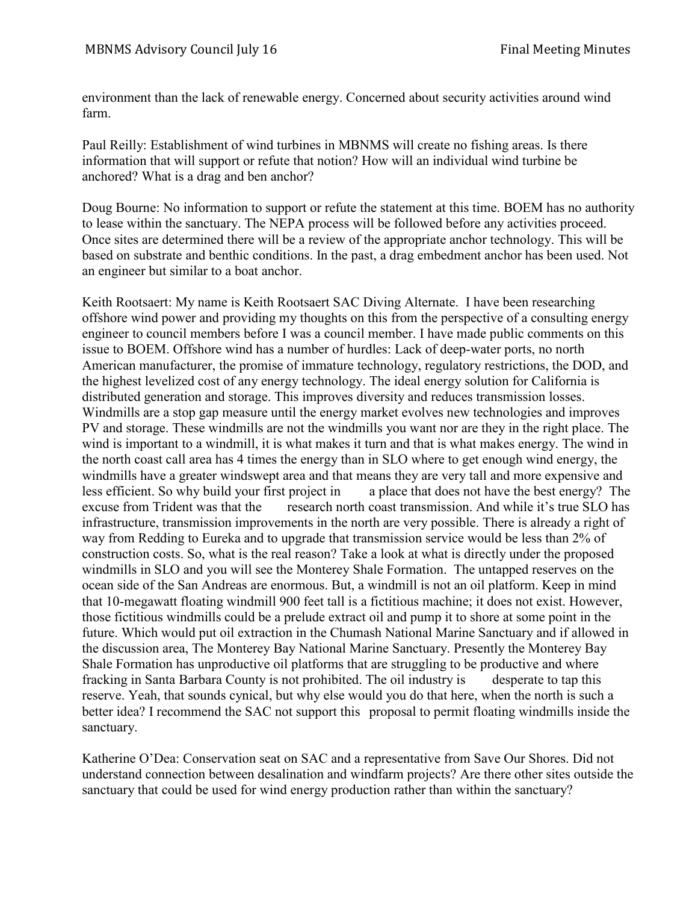environment than the lack of renewable energy. Concerned about security activities around wind farm.

Paul Reilly: Establishment of wind turbines in MBNMS will create no fishing areas. Is there information that will support or refute that notion? How will an individual wind turbine be anchored? What is a drag and ben anchor?

Doug Bourne: No information to support or refute the statement at this time. BOEM has no authority to lease within the sanctuary. The NEPA process will be followed before any activities proceed. Once sites are determined there will be a review of the appropriate anchor technology. This will be based on substrate and benthic conditions. In the past, a drag embedment anchor has been used. Not an engineer but similar to a boat anchor.

Keith Rootsaert: My name is Keith Rootsaert SAC Diving Alternate. I have been researching offshore wind power and providing my thoughts on this from the perspective of a consulting energy engineer to council members before I was a council member. I have made public comments on this issue to BOEM. Offshore wind has a number of hurdles: Lack of deep-water ports, no north American manufacturer, the promise of immature technology, regulatory restrictions, the DOD, and the highest levelized cost of any energy technology. The ideal energy solution for California is distributed generation and storage. This improves diversity and reduces transmission losses. Windmills are a stop gap measure until the energy market evolves new technologies and improves PV and storage. These windmills are not the windmills you want nor are they in the right place. The wind is important to a windmill, it is what makes it turn and that is what makes energy. The wind in the north coast call area has 4 times the energy than in SLO where to get enough wind energy, the windmills have a greater windswept area and that means they are very tall and more expensive and less efficient. So why build your first project in a place that does not have the best energy? The excuse from Trident was that the research north coast transmission. And while it's true SLO has infrastructure, transmission improvements in the north are very possible. There is already a right of way from Redding to Eureka and to upgrade that transmission service would be less than 2% of construction costs. So, what is the real reason? Take a look at what is directly under the proposed windmills in SLO and you will see the Monterey Shale Formation. The untapped reserves on the ocean side of the San Andreas are enormous. But, a windmill is not an oil platform. Keep in mind that 10-megawatt floating windmill 900 feet tall is a fictitious machine; it does not exist. However, those fictitious windmills could be a prelude extract oil and pump it to shore at some point in the future. Which would put oil extraction in the Chumash National Marine Sanctuary and if allowed in the discussion area, The Monterey Bay National Marine Sanctuary. Presently the Monterey Bay Shale Formation has unproductive oil platforms that are struggling to be productive and where fracking in Santa Barbara County is not prohibited. The oil industry is desperate to tap this reserve. Yeah, that sounds cynical, but why else would you do that here, when the north is such a better idea? I recommend the SAC not support this proposal to permit floating windmills inside the sanctuary.

Katherine O'Dea: Conservation seat on SAC and a representative from Save Our Shores. Did not understand connection between desalination and windfarm projects? Are there other sites outside the sanctuary that could be used for wind energy production rather than within the sanctuary?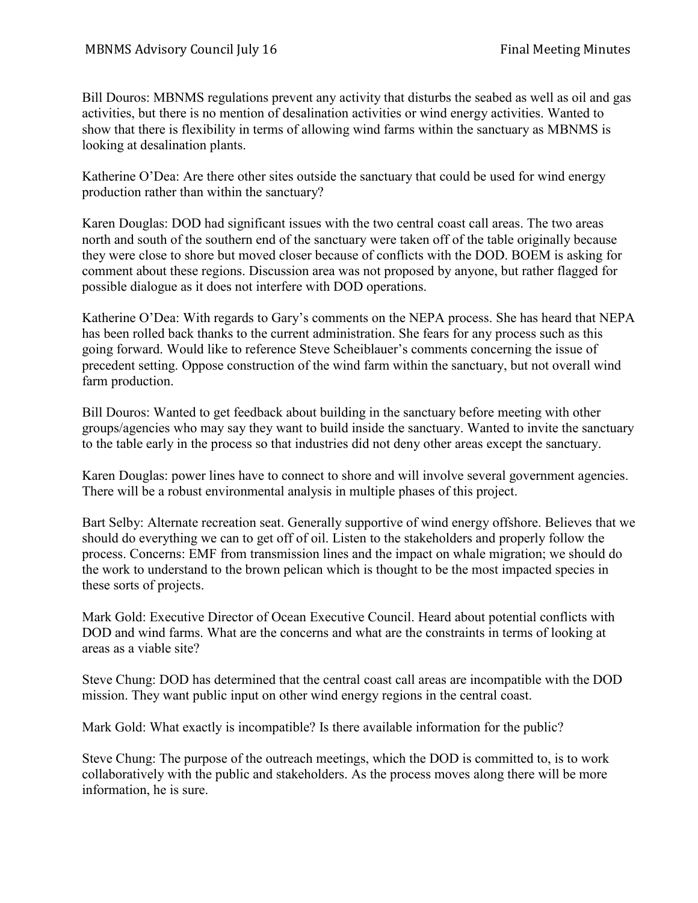Bill Douros: MBNMS regulations prevent any activity that disturbs the seabed as well as oil and gas activities, but there is no mention of desalination activities or wind energy activities. Wanted to show that there is flexibility in terms of allowing wind farms within the sanctuary as MBNMS is looking at desalination plants.

Katherine O'Dea: Are there other sites outside the sanctuary that could be used for wind energy production rather than within the sanctuary?

Karen Douglas: DOD had significant issues with the two central coast call areas. The two areas north and south of the southern end of the sanctuary were taken off of the table originally because they were close to shore but moved closer because of conflicts with the DOD. BOEM is asking for comment about these regions. Discussion area was not proposed by anyone, but rather flagged for possible dialogue as it does not interfere with DOD operations.

Katherine O'Dea: With regards to Gary's comments on the NEPA process. She has heard that NEPA has been rolled back thanks to the current administration. She fears for any process such as this going forward. Would like to reference Steve Scheiblauer's comments concerning the issue of precedent setting. Oppose construction of the wind farm within the sanctuary, but not overall wind farm production.

Bill Douros: Wanted to get feedback about building in the sanctuary before meeting with other groups/agencies who may say they want to build inside the sanctuary. Wanted to invite the sanctuary to the table early in the process so that industries did not deny other areas except the sanctuary.

Karen Douglas: power lines have to connect to shore and will involve several government agencies. There will be a robust environmental analysis in multiple phases of this project.

Bart Selby: Alternate recreation seat. Generally supportive of wind energy offshore. Believes that we should do everything we can to get off of oil. Listen to the stakeholders and properly follow the process. Concerns: EMF from transmission lines and the impact on whale migration; we should do the work to understand to the brown pelican which is thought to be the most impacted species in these sorts of projects.

Mark Gold: Executive Director of Ocean Executive Council. Heard about potential conflicts with DOD and wind farms. What are the concerns and what are the constraints in terms of looking at areas as a viable site?

Steve Chung: DOD has determined that the central coast call areas are incompatible with the DOD mission. They want public input on other wind energy regions in the central coast.

Mark Gold: What exactly is incompatible? Is there available information for the public?

Steve Chung: The purpose of the outreach meetings, which the DOD is committed to, is to work collaboratively with the public and stakeholders. As the process moves along there will be more information, he is sure.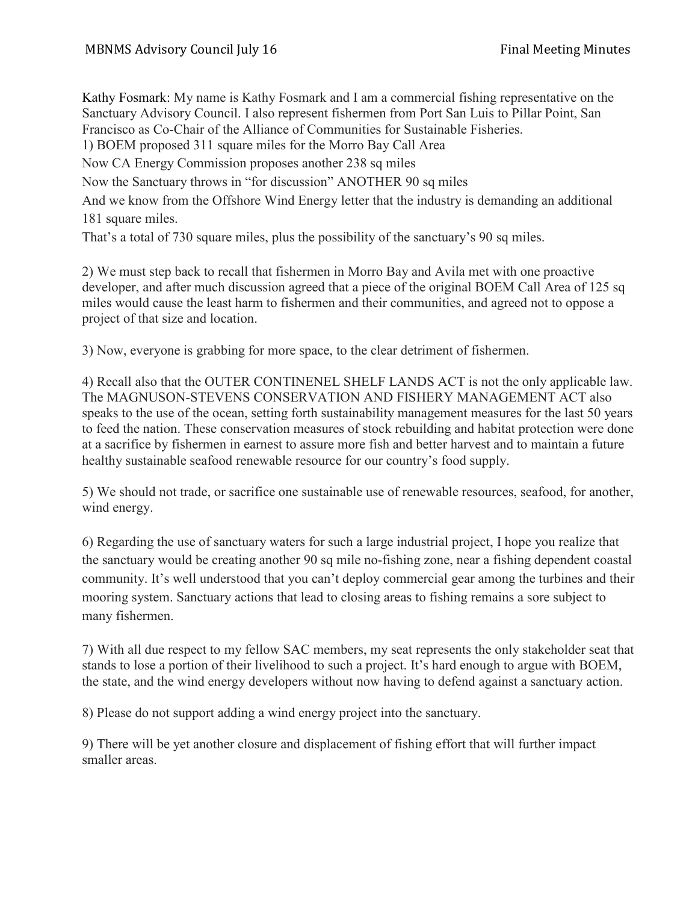Kathy Fosmark: My name is Kathy Fosmark and I am a commercial fishing representative on the Sanctuary Advisory Council. I also represent fishermen from Port San Luis to Pillar Point, San Francisco as Co-Chair of the Alliance of Communities for Sustainable Fisheries. 1) BOEM proposed 311 square miles for the Morro Bay Call Area Now CA Energy Commission proposes another 238 sq miles Now the Sanctuary throws in "for discussion" ANOTHER 90 sq miles And we know from the Offshore Wind Energy letter that the industry is demanding an additional 181 square miles. That's a total of 730 square miles, plus the possibility of the sanctuary's 90 sq miles.

2) We must step back to recall that fishermen in Morro Bay and Avila met with one proactive developer, and after much discussion agreed that a piece of the original BOEM Call Area of 125 sq miles would cause the least harm to fishermen and their communities, and agreed not to oppose a project of that size and location.

3) Now, everyone is grabbing for more space, to the clear detriment of fishermen.

4) Recall also that the OUTER CONTINENEL SHELF LANDS ACT is not the only applicable law. The MAGNUSON-STEVENS CONSERVATION AND FISHERY MANAGEMENT ACT also speaks to the use of the ocean, setting forth sustainability management measures for the last 50 years to feed the nation. These conservation measures of stock rebuilding and habitat protection were done at a sacrifice by fishermen in earnest to assure more fish and better harvest and to maintain a future healthy sustainable seafood renewable resource for our country's food supply.

5) We should not trade, or sacrifice one sustainable use of renewable resources, seafood, for another, wind energy.

6) Regarding the use of sanctuary waters for such a large industrial project, I hope you realize that the sanctuary would be creating another 90 sq mile no-fishing zone, near a fishing dependent coastal community. It's well understood that you can't deploy commercial gear among the turbines and their mooring system. Sanctuary actions that lead to closing areas to fishing remains a sore subject to many fishermen.

7) With all due respect to my fellow SAC members, my seat represents the only stakeholder seat that stands to lose a portion of their livelihood to such a project. It's hard enough to argue with BOEM, the state, and the wind energy developers without now having to defend against a sanctuary action.

8) Please do not support adding a wind energy project into the sanctuary.

9) There will be yet another closure and displacement of fishing effort that will further impact smaller areas.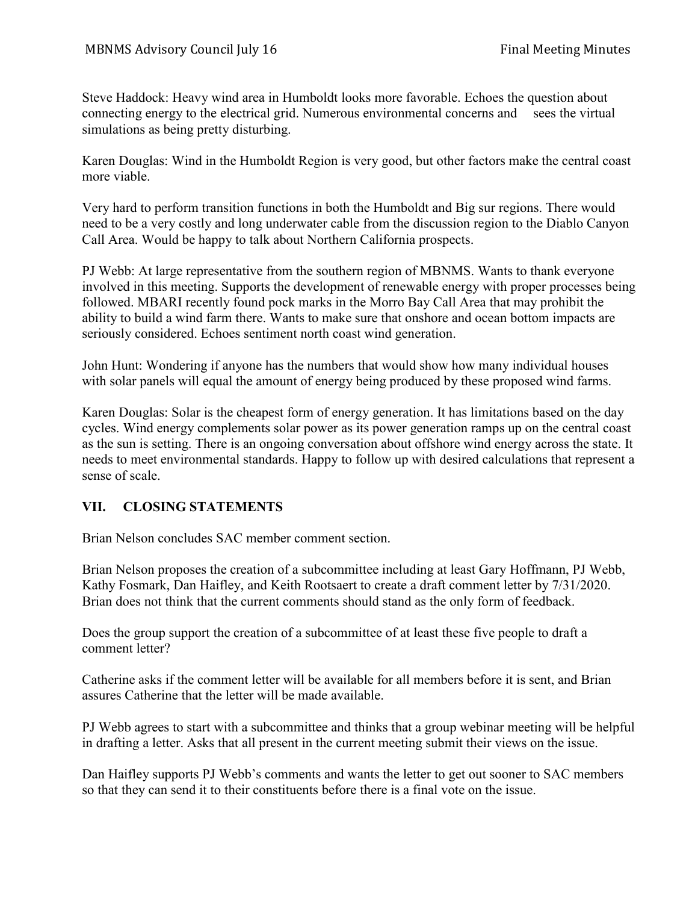Steve Haddock: Heavy wind area in Humboldt looks more favorable. Echoes the question about connecting energy to the electrical grid. Numerous environmental concerns and sees the virtual simulations as being pretty disturbing.

Karen Douglas: Wind in the Humboldt Region is very good, but other factors make the central coast more viable.

Very hard to perform transition functions in both the Humboldt and Big sur regions. There would need to be a very costly and long underwater cable from the discussion region to the Diablo Canyon Call Area. Would be happy to talk about Northern California prospects.

PJ Webb: At large representative from the southern region of MBNMS. Wants to thank everyone involved in this meeting. Supports the development of renewable energy with proper processes being followed. MBARI recently found pock marks in the Morro Bay Call Area that may prohibit the ability to build a wind farm there. Wants to make sure that onshore and ocean bottom impacts are seriously considered. Echoes sentiment north coast wind generation.

John Hunt: Wondering if anyone has the numbers that would show how many individual houses with solar panels will equal the amount of energy being produced by these proposed wind farms.

Karen Douglas: Solar is the cheapest form of energy generation. It has limitations based on the day cycles. Wind energy complements solar power as its power generation ramps up on the central coast as the sun is setting. There is an ongoing conversation about offshore wind energy across the state. It needs to meet environmental standards. Happy to follow up with desired calculations that represent a sense of scale.

### **VII. CLOSING STATEMENTS**

Brian Nelson concludes SAC member comment section.

Brian Nelson proposes the creation of a subcommittee including at least Gary Hoffmann, PJ Webb, Kathy Fosmark, Dan Haifley, and Keith Rootsaert to create a draft comment letter by 7/31/2020. Brian does not think that the current comments should stand as the only form of feedback.

Does the group support the creation of a subcommittee of at least these five people to draft a comment letter?

Catherine asks if the comment letter will be available for all members before it is sent, and Brian assures Catherine that the letter will be made available.

PJ Webb agrees to start with a subcommittee and thinks that a group webinar meeting will be helpful in drafting a letter. Asks that all present in the current meeting submit their views on the issue.

Dan Haifley supports PJ Webb's comments and wants the letter to get out sooner to SAC members so that they can send it to their constituents before there is a final vote on the issue.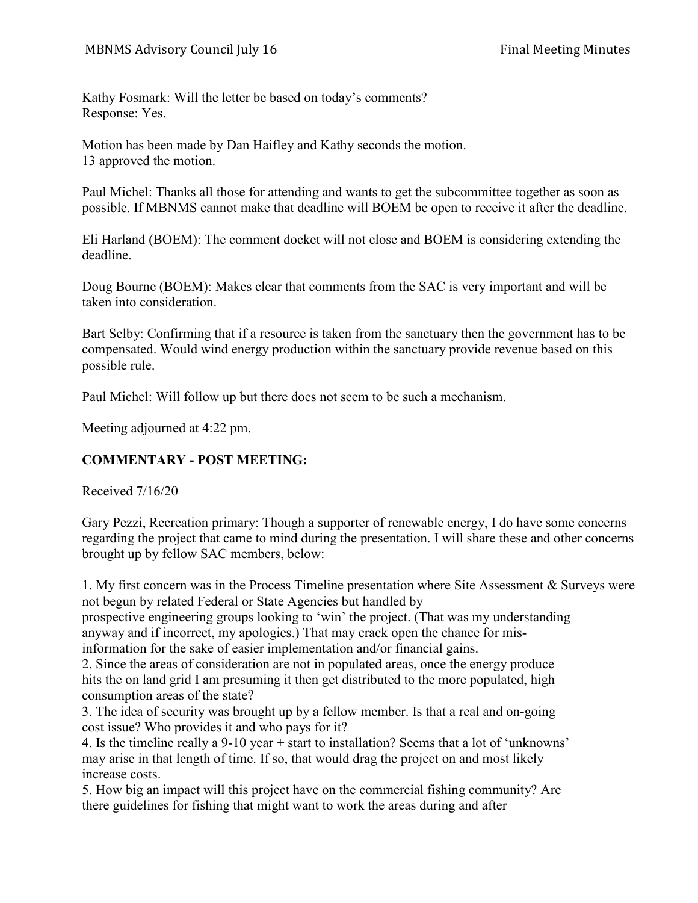Kathy Fosmark: Will the letter be based on today's comments? Response: Yes.

Motion has been made by Dan Haifley and Kathy seconds the motion. 13 approved the motion.

Paul Michel: Thanks all those for attending and wants to get the subcommittee together as soon as possible. If MBNMS cannot make that deadline will BOEM be open to receive it after the deadline.

Eli Harland (BOEM): The comment docket will not close and BOEM is considering extending the deadline.

Doug Bourne (BOEM): Makes clear that comments from the SAC is very important and will be taken into consideration.

Bart Selby: Confirming that if a resource is taken from the sanctuary then the government has to be compensated. Would wind energy production within the sanctuary provide revenue based on this possible rule.

Paul Michel: Will follow up but there does not seem to be such a mechanism.

Meeting adjourned at 4:22 pm.

# **COMMENTARY - POST MEETING:**

Received 7/16/20

Gary Pezzi, Recreation primary: Though a supporter of renewable energy, I do have some concerns regarding the project that came to mind during the presentation. I will share these and other concerns brought up by fellow SAC members, below:

1. My first concern was in the Process Timeline presentation where Site Assessment & Surveys were not begun by related Federal or State Agencies but handled by

prospective engineering groups looking to 'win' the project. (That was my understanding anyway and if incorrect, my apologies.) That may crack open the chance for misinformation for the sake of easier implementation and/or financial gains.

2. Since the areas of consideration are not in populated areas, once the energy produce hits the on land grid I am presuming it then get distributed to the more populated, high consumption areas of the state?

3. The idea of security was brought up by a fellow member. Is that a real and on-going cost issue? Who provides it and who pays for it?

4. Is the timeline really a 9-10 year + start to installation? Seems that a lot of 'unknowns' may arise in that length of time. If so, that would drag the project on and most likely increase costs.

5. How big an impact will this project have on the commercial fishing community? Are there guidelines for fishing that might want to work the areas during and after